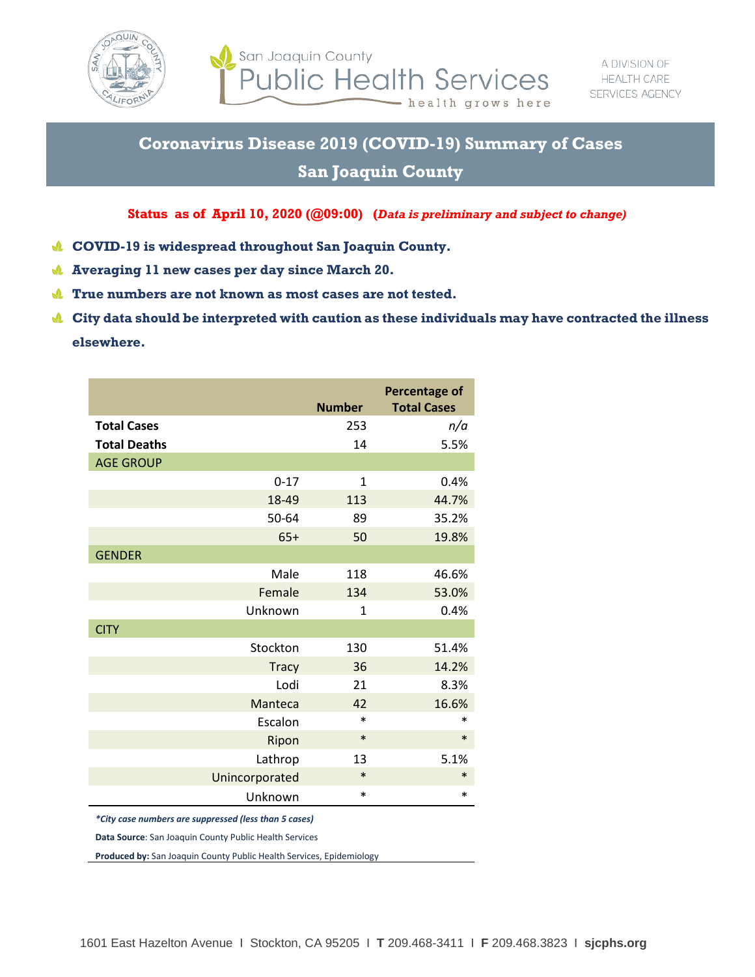

San Joaquin County **Public Health Services** - health grows here

## **Coronavirus Disease 2019 (COVID-19) Summary of Cases**

## **San Joaquin County**

## **Status as of April 10, 2020 (@09:00) (***Data is preliminary and subject to change)*

- **COVID-19 is widespread throughout San Joaquin County.** J.
- $\mathbf{v}$ **Averaging 11 new cases per day since March 20.**
- **True numbers are not known as most cases are not tested.**
- **City data should be interpreted with caution as these individuals may have contracted the illness elsewhere.**

|                     |                | <b>Number</b> | <b>Percentage of</b><br><b>Total Cases</b> |
|---------------------|----------------|---------------|--------------------------------------------|
| <b>Total Cases</b>  |                | 253           | n/a                                        |
| <b>Total Deaths</b> |                | 14            | 5.5%                                       |
| <b>AGE GROUP</b>    |                |               |                                            |
|                     | $0 - 17$       | $\mathbf{1}$  | 0.4%                                       |
|                     | 18-49          | 113           | 44.7%                                      |
|                     | 50-64          | 89            | 35.2%                                      |
|                     | $65+$          | 50            | 19.8%                                      |
| <b>GENDER</b>       |                |               |                                            |
|                     | Male           | 118           | 46.6%                                      |
|                     | Female         | 134           | 53.0%                                      |
|                     | Unknown        | $\mathbf{1}$  | 0.4%                                       |
| <b>CITY</b>         |                |               |                                            |
|                     | Stockton       | 130           | 51.4%                                      |
|                     | <b>Tracy</b>   | 36            | 14.2%                                      |
|                     | Lodi           | 21            | 8.3%                                       |
|                     | Manteca        | 42            | 16.6%                                      |
|                     | Escalon        | $\ast$        | $\ast$                                     |
|                     | Ripon          | $\ast$        | $\ast$                                     |
|                     | Lathrop        | 13            | 5.1%                                       |
|                     | Unincorporated | $\ast$        | $\ast$                                     |
|                     | Unknown        | $\ast$        | $\ast$                                     |

*\*City case numbers are suppressed (less than 5 cases)*

**Data Source**: San Joaquin County Public Health Services

**Produced by:** San Joaquin County Public Health Services, Epidemiology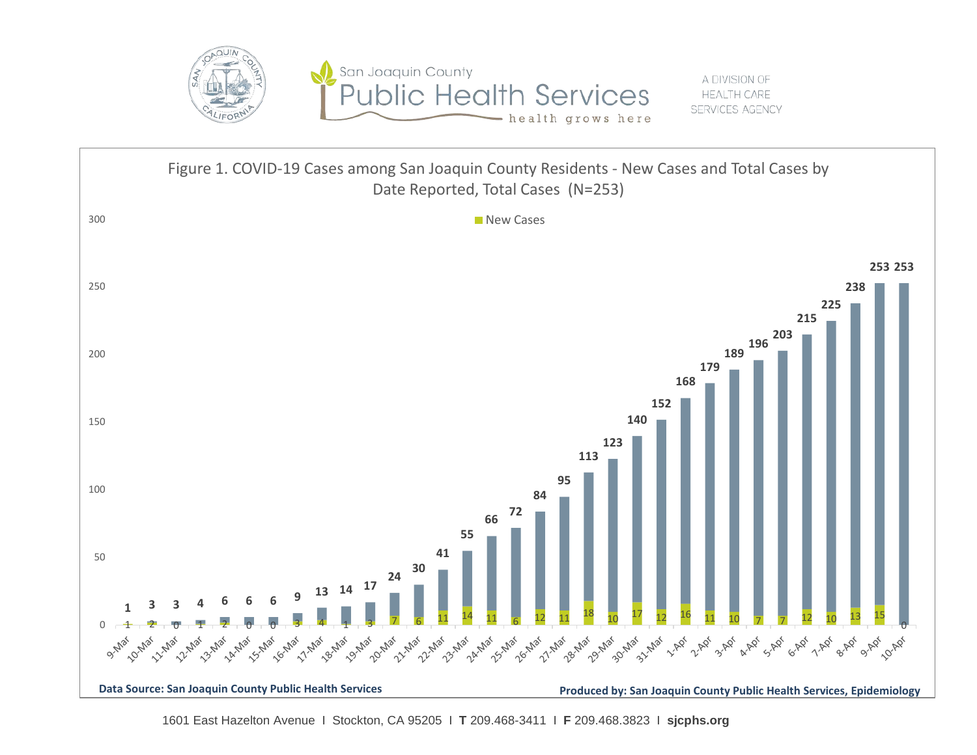

A DIVISION OF **HEALTH CARE** SERVICES AGENCY



East Hazelton Avenue I Stockton, CA 95205 I **T** 209.468-3411 I **F** 209.468.3823 I **sjcphs.org**